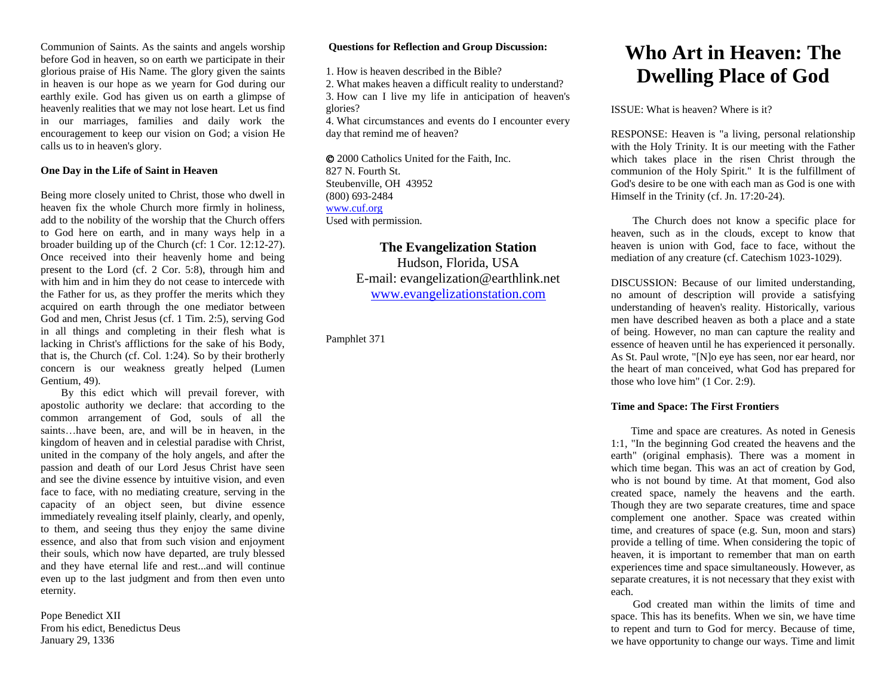Communion of Saints. As the saints and angels worship before God in heaven, so on earth we participate in their glorious praise of His Name. The glory given the saints in heaven is our hope as we yearn for God during our earthly exile. God has given us on earth a glimpse of heavenly realities that we may not lose heart. Let us find in our marriages, families and daily work the encouragement to keep our vision on God; a vision He calls us to in heaven's glory.

# **One Day in the Life of Saint in Heaven**

Being more closely united to Christ, those who dwell in heaven fix the whole Church more firmly in holiness, add to the nobility of the worship that the Church offers to God here on earth, and in many ways help in a broader building up of the Church (cf: 1 Cor. 12:12-27). Once received into their heavenly home and being present to the Lord (cf. 2 Cor. 5:8), through him and with him and in him they do not cease to intercede with the Father for us, as they proffer the merits which they acquired on earth through the one mediator between God and men, Christ Jesus (cf. 1 Tim. 2:5), serving God in all things and completing in their flesh what is lacking in Christ's afflictions for the sake of his Body, that is, the Church (cf. Col. 1:24). So by their brotherly concern is our weakness greatly helped (Lumen Gentium, 49).

By this edict which will prevail forever, with apostolic authority we declare: that according to the common arrangement of God, souls of all the saints…have been, are, and will be in heaven, in the kingdom of heaven and in celestial paradise with Christ, united in the company of the holy angels, and after the passion and death of our Lord Jesus Christ have seen and see the divine essence by intuitive vision, and even face to face, with no mediating creature, serving in the capacity of an object seen, but divine essence immediately revealing itself plainly, clearly, and openly, to them, and seeing thus they enjoy the same divine essence, and also that from such vision and enjoyment their souls, which now have departed, are truly blessed and they have eternal life and rest...and will continue even up to the last judgment and from then even unto eternity.

Pope Benedict XII From his edict, Benedictus Deus January 29, 1336

## **Questions for Reflection and Group Discussion:**

1. How is heaven described in the Bible?

2. What makes heaven a difficult reality to understand?

3. How can I live my life in anticipation of heaven's glories?

4. What circumstances and events do I encounter every day that remind me of heaven?

 2000 Catholics United for the Faith, Inc. 827 N. Fourth St. Steubenville, OH 43952 (800) 693-2484 [www.cuf.org](http://www.cuf.org/) Used with permission.

> **The Evangelization Station**  Hudson, Florida, USA E-mail: evangelization@earthlink.net [www.evangelizationstation.com](http://www.pjpiisoe.org/)

Pamphlet 371

# **Who Art in Heaven: The Dwelling Place of God**

ISSUE: What is heaven? Where is it?

RESPONSE: Heaven is "a living, personal relationship with the Holy Trinity. It is our meeting with the Father which takes place in the risen Christ through the communion of the Holy Spirit." It is the fulfillment of God's desire to be one with each man as God is one with Himself in the Trinity (cf. Jn. 17:20-24).

 The Church does not know a specific place for heaven, such as in the clouds, except to know that heaven is union with God, face to face, without the mediation of any creature (cf. Catechism 1023-1029).

DISCUSSION: Because of our limited understanding, no amount of description will provide a satisfying understanding of heaven's reality. Historically, various men have described heaven as both a place and a state of being. However, no man can capture the reality and essence of heaven until he has experienced it personally. As St. Paul wrote, "[N]o eye has seen, nor ear heard, nor the heart of man conceived, what God has prepared for those who love him" (1 Cor. 2:9).

## **Time and Space: The First Frontiers**

 Time and space are creatures. As noted in Genesis 1:1, "In the beginning God created the heavens and the earth" (original emphasis). There was a moment in which time began. This was an act of creation by God, who is not bound by time. At that moment, God also created space, namely the heavens and the earth. Though they are two separate creatures, time and space complement one another. Space was created within time, and creatures of space (e.g. Sun, moon and stars) provide a telling of time. When considering the topic of heaven, it is important to remember that man on earth experiences time and space simultaneously. However, as separate creatures, it is not necessary that they exist with each.

 God created man within the limits of time and space. This has its benefits. When we sin, we have time to repent and turn to God for mercy. Because of time, we have opportunity to change our ways. Time and limit